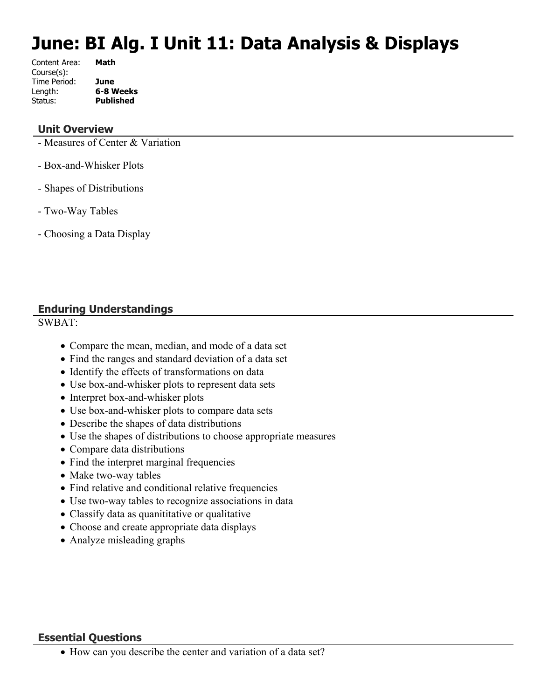# **June: BI Alg. I Unit 11: Data Analysis & Displays**

| Content Area: | Math             |
|---------------|------------------|
| Course(s):    |                  |
| Time Period:  | June             |
| Length:       | 6-8 Weeks        |
| Status:       | <b>Published</b> |
|               |                  |

#### **Unit Overview**

- Measures of Center & Variation
- Box-and-Whisker Plots
- Shapes of Distributions
- Two-Way Tables
- Choosing a Data Display

# **Enduring Understandings**

SWBAT:

- Compare the mean, median, and mode of a data set
- Find the ranges and standard deviation of a data set
- Identify the effects of transformations on data
- Use box-and-whisker plots to represent data sets
- Interpret box-and-whisker plots
- Use box-and-whisker plots to compare data sets
- Describe the shapes of data distributions
- Use the shapes of distributions to choose appropriate measures
- Compare data distributions
- Find the interpret marginal frequencies
- Make two-way tables
- Find relative and conditional relative frequencies
- Use two-way tables to recognize associations in data
- Classify data as quanititative or qualitative
- Choose and create appropriate data displays
- Analyze misleading graphs

#### **Essential Questions**

How can you describe the center and variation of a data set?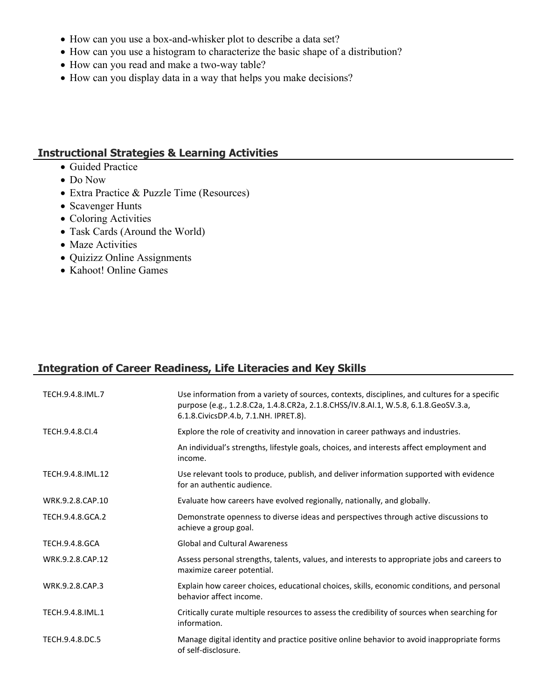- How can you use a box-and-whisker plot to describe a data set?
- How can you use a histogram to characterize the basic shape of a distribution?
- How can you read and make a two-way table?
- How can you display data in a way that helps you make decisions?

#### **Instructional Strategies & Learning Activities**

- Guided Practice
- Do Now
- Extra Practice & Puzzle Time (Resources)
- Scavenger Hunts
- Coloring Activities
- Task Cards (Around the World)
- Maze Activities
- Quizizz Online Assignments
- Kahoot! Online Games

# **Integration of Career Readiness, Life Literacies and Key Skills**

| TECH.9.4.8.IML.7      | Use information from a variety of sources, contexts, disciplines, and cultures for a specific<br>purpose (e.g., 1.2.8.C2a, 1.4.8.CR2a, 2.1.8.CHSS/IV.8.AI.1, W.5.8, 6.1.8.GeoSV.3.a,<br>6.1.8. Civics DP.4.b, 7.1. NH. IPRET.8). |
|-----------------------|----------------------------------------------------------------------------------------------------------------------------------------------------------------------------------------------------------------------------------|
| TECH.9.4.8.CI.4       | Explore the role of creativity and innovation in career pathways and industries.                                                                                                                                                 |
|                       | An individual's strengths, lifestyle goals, choices, and interests affect employment and<br>income.                                                                                                                              |
| TECH.9.4.8.IML.12     | Use relevant tools to produce, publish, and deliver information supported with evidence<br>for an authentic audience.                                                                                                            |
| WRK.9.2.8.CAP.10      | Evaluate how careers have evolved regionally, nationally, and globally.                                                                                                                                                          |
| TECH.9.4.8.GCA.2      | Demonstrate openness to diverse ideas and perspectives through active discussions to<br>achieve a group goal.                                                                                                                    |
| <b>TECH.9.4.8.GCA</b> | <b>Global and Cultural Awareness</b>                                                                                                                                                                                             |
| WRK.9.2.8.CAP.12      | Assess personal strengths, talents, values, and interests to appropriate jobs and careers to<br>maximize career potential.                                                                                                       |
| WRK.9.2.8.CAP.3       | Explain how career choices, educational choices, skills, economic conditions, and personal<br>behavior affect income.                                                                                                            |
| TECH.9.4.8.IML.1      | Critically curate multiple resources to assess the credibility of sources when searching for<br>information.                                                                                                                     |
| TECH.9.4.8.DC.5       | Manage digital identity and practice positive online behavior to avoid inappropriate forms<br>of self-disclosure.                                                                                                                |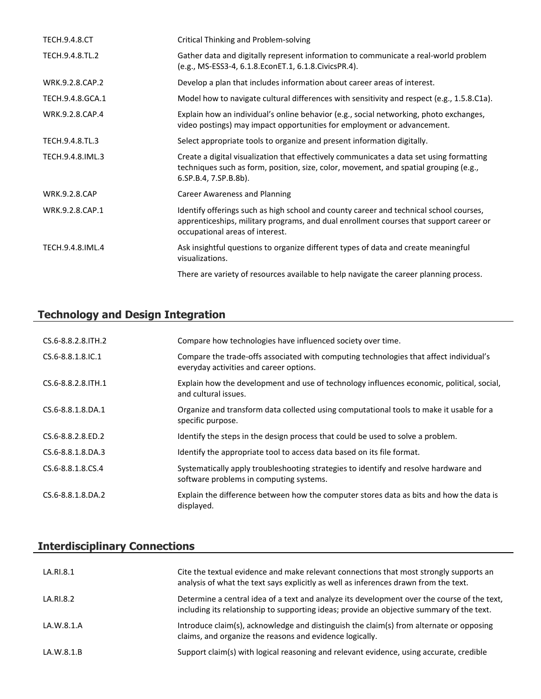| <b>TECH.9.4.8.CT</b> | Critical Thinking and Problem-solving                                                                                                                                                                               |
|----------------------|---------------------------------------------------------------------------------------------------------------------------------------------------------------------------------------------------------------------|
| TECH.9.4.8.TL.2      | Gather data and digitally represent information to communicate a real-world problem<br>(e.g., MS-ESS3-4, 6.1.8. Econ ET.1, 6.1.8. Civics PR.4).                                                                     |
| WRK.9.2.8.CAP.2      | Develop a plan that includes information about career areas of interest.                                                                                                                                            |
| TECH.9.4.8.GCA.1     | Model how to navigate cultural differences with sensitivity and respect (e.g., 1.5.8.C1a).                                                                                                                          |
| WRK.9.2.8.CAP.4      | Explain how an individual's online behavior (e.g., social networking, photo exchanges,<br>video postings) may impact opportunities for employment or advancement.                                                   |
| TECH.9.4.8.TL.3      | Select appropriate tools to organize and present information digitally.                                                                                                                                             |
| TECH.9.4.8.IML.3     | Create a digital visualization that effectively communicates a data set using formatting<br>techniques such as form, position, size, color, movement, and spatial grouping (e.g.,<br>6.SP.B.4, 7.SP.B.8b).          |
| <b>WRK.9.2.8.CAP</b> | <b>Career Awareness and Planning</b>                                                                                                                                                                                |
| WRK.9.2.8.CAP.1      | Identify offerings such as high school and county career and technical school courses,<br>apprenticeships, military programs, and dual enrollment courses that support career or<br>occupational areas of interest. |
| TECH.9.4.8.IML.4     | Ask insightful questions to organize different types of data and create meaningful<br>visualizations.                                                                                                               |
|                      | There are variety of resources available to help navigate the career planning process.                                                                                                                              |

# **Technology and Design Integration**

| CS.6-8.8.2.8. TH. 2      | Compare how technologies have influenced society over time.                                                                       |
|--------------------------|-----------------------------------------------------------------------------------------------------------------------------------|
| $CS.6 - 8.8.1.8$ . IC. 1 | Compare the trade-offs associated with computing technologies that affect individual's<br>everyday activities and career options. |
| CS.6-8.8.2.8. ITH. 1     | Explain how the development and use of technology influences economic, political, social,<br>and cultural issues.                 |
| CS.6-8.8.1.8.DA.1        | Organize and transform data collected using computational tools to make it usable for a<br>specific purpose.                      |
| CS.6-8.8.2.8.ED.2        | Identify the steps in the design process that could be used to solve a problem.                                                   |
| $CS.6 - 8.8.1.8.DA.3$    | Identify the appropriate tool to access data based on its file format.                                                            |
| CS.6-8.8.1.8.CS.4        | Systematically apply troubleshooting strategies to identify and resolve hardware and<br>software problems in computing systems.   |
| CS.6-8.8.1.8.DA.2        | Explain the difference between how the computer stores data as bits and how the data is<br>displayed.                             |

# **Interdisciplinary Connections**

| LA.RI.8.1  | Cite the textual evidence and make relevant connections that most strongly supports an<br>analysis of what the text says explicitly as well as inferences drawn from the text.           |
|------------|------------------------------------------------------------------------------------------------------------------------------------------------------------------------------------------|
| LA.RI.8.2  | Determine a central idea of a text and analyze its development over the course of the text,<br>including its relationship to supporting ideas; provide an objective summary of the text. |
| LA.W.8.1.A | Introduce claim(s), acknowledge and distinguish the claim(s) from alternate or opposing<br>claims, and organize the reasons and evidence logically.                                      |
| LA.W.8.1.B | Support claim(s) with logical reasoning and relevant evidence, using accurate, credible                                                                                                  |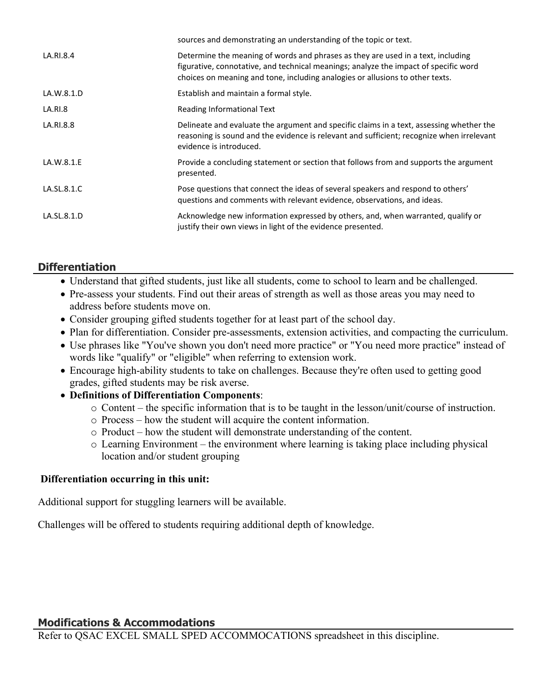|             | sources and demonstrating an understanding of the topic or text.                                                                                                                                                                                          |
|-------------|-----------------------------------------------------------------------------------------------------------------------------------------------------------------------------------------------------------------------------------------------------------|
| LA.RI.8.4   | Determine the meaning of words and phrases as they are used in a text, including<br>figurative, connotative, and technical meanings; analyze the impact of specific word<br>choices on meaning and tone, including analogies or allusions to other texts. |
| LA.W.8.1.D  | Establish and maintain a formal style.                                                                                                                                                                                                                    |
| LA.RI.8     | Reading Informational Text                                                                                                                                                                                                                                |
| LA.RI.8.8   | Delineate and evaluate the argument and specific claims in a text, assessing whether the<br>reasoning is sound and the evidence is relevant and sufficient; recognize when irrelevant<br>evidence is introduced.                                          |
| LA.W.8.1.E  | Provide a concluding statement or section that follows from and supports the argument<br>presented.                                                                                                                                                       |
| LA.SL.8.1.C | Pose questions that connect the ideas of several speakers and respond to others'<br>questions and comments with relevant evidence, observations, and ideas.                                                                                               |
| LA.SL.8.1.D | Acknowledge new information expressed by others, and, when warranted, qualify or<br>justify their own views in light of the evidence presented.                                                                                                           |
|             |                                                                                                                                                                                                                                                           |

# **Differentiation**

- Understand that gifted students, just like all students, come to school to learn and be challenged.
- Pre-assess your students. Find out their areas of strength as well as those areas you may need to address before students move on.
- Consider grouping gifted students together for at least part of the school day.
- Plan for differentiation. Consider pre-assessments, extension activities, and compacting the curriculum.
- Use phrases like "You've shown you don't need more practice" or "You need more practice" instead of words like "qualify" or "eligible" when referring to extension work.
- Encourage high-ability students to take on challenges. Because they're often used to getting good grades, gifted students may be risk averse.
- **Definitions of Differentiation Components**:
	- o Content the specific information that is to be taught in the lesson/unit/course of instruction.
	- o Process how the student will acquire the content information.
	- o Product how the student will demonstrate understanding of the content.
	- o Learning Environment the environment where learning is taking place including physical location and/or student grouping

#### **Differentiation occurring in this unit:**

Additional support for stuggling learners will be available.

Challenges will be offered to students requiring additional depth of knowledge.

# **Modifications & Accommodations**

Refer to QSAC EXCEL SMALL SPED ACCOMMOCATIONS spreadsheet in this discipline.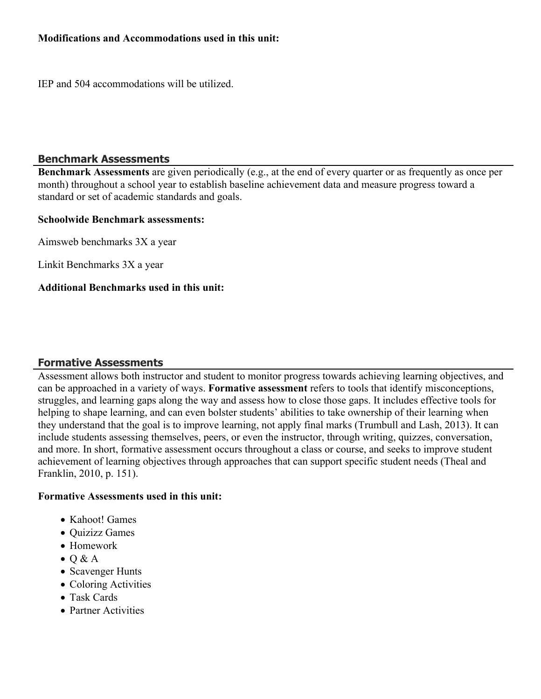#### **Modifications and Accommodations used in this unit:**

IEP and 504 accommodations will be utilized.

#### **Benchmark Assessments**

**Benchmark Assessments** are given periodically (e.g., at the end of every quarter or as frequently as once per month) throughout a school year to establish baseline achievement data and measure progress toward a standard or set of academic standards and goals.

#### **Schoolwide Benchmark assessments:**

Aimsweb benchmarks 3X a year

Linkit Benchmarks 3X a year

#### **Additional Benchmarks used in this unit:**

# **Formative Assessments**

Assessment allows both instructor and student to monitor progress towards achieving learning objectives, and can be approached in a variety of ways. **Formative assessment** refers to tools that identify misconceptions, struggles, and learning gaps along the way and assess how to close those gaps. It includes effective tools for helping to shape learning, and can even bolster students' abilities to take ownership of their learning when they understand that the goal is to improve learning, not apply final marks (Trumbull and Lash, 2013). It can include students assessing themselves, peers, or even the instructor, through writing, quizzes, conversation, and more. In short, formative assessment occurs throughout a class or course, and seeks to improve student achievement of learning objectives through approaches that can support specific student needs (Theal and Franklin, 2010, p. 151).

#### **Formative Assessments used in this unit:**

- Kahoot! Games
- Ouizizz Games
- Homework
- $\bullet$  Q & A
- Scavenger Hunts
- Coloring Activities
- Task Cards
- Partner Activities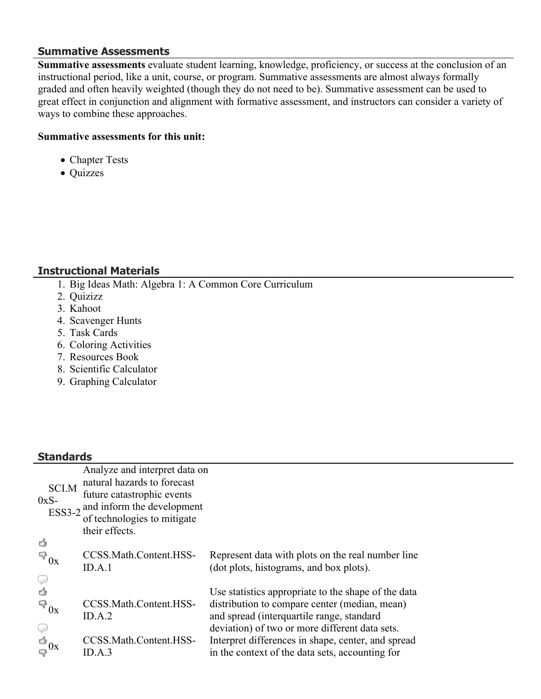#### **Summative Assessments**

**Summative assessments** evaluate student learning, knowledge, proficiency, or success at the conclusion of an instructional period, like a unit, course, or program. Summative assessments are almost always formally graded and often heavily weighted (though they do not need to be). Summative assessment can be used to great effect in conjunction and alignment with formative assessment, and instructors can consider a variety of ways to combine these approaches.

#### **Summative assessments for this unit:**

- Chapter Tests
- Quizzes

# **Instructional Materials**

- 1. Big Ideas Math: Algebra 1: A Common Core Curriculum
- 2. Quizizz
- 3. Kahoot
- 4. Scavenger Hunts
- 5. Task Cards
- 6. Coloring Activities
- 7. Resources Book
- 8. Scientific Calculator
- 9. Graphing Calculator

# **Standards**

| эшнин чэ                                                                |                                                                                                                                                                           |                                                                                                                                                                                                     |
|-------------------------------------------------------------------------|---------------------------------------------------------------------------------------------------------------------------------------------------------------------------|-----------------------------------------------------------------------------------------------------------------------------------------------------------------------------------------------------|
| <b>SCI.M</b><br>$0xS-$<br><b>ESS3-2</b>                                 | Analyze and interpret data on<br>natural hazards to forecast<br>future catastrophic events<br>and inform the development<br>of technologies to mitigate<br>their effects. |                                                                                                                                                                                                     |
| ₫<br>$\mathbb{F}_{0x}$                                                  | CCSS.Math.Content.HSS-<br>ID.A.1                                                                                                                                          | Represent data with plots on the real number line<br>(dot plots, histograms, and box plots).                                                                                                        |
| P<br>4<br>$\mathbb{R}^3_{0x}$                                           | CCSS.Math.Content.HSS-<br>ID.A.2                                                                                                                                          | Use statistics appropriate to the shape of the data<br>distribution to compare center (median, mean)<br>and spread (interquartile range, standard<br>deviation) of two or more different data sets. |
| $\begin{array}{c} \n\bigcirc \\ \n\bigcirc \\ \n\bigcirc \n\end{array}$ | CCSS.Math.Content.HSS-<br>ID.A.3                                                                                                                                          | Interpret differences in shape, center, and spread<br>in the context of the data sets, accounting for                                                                                               |